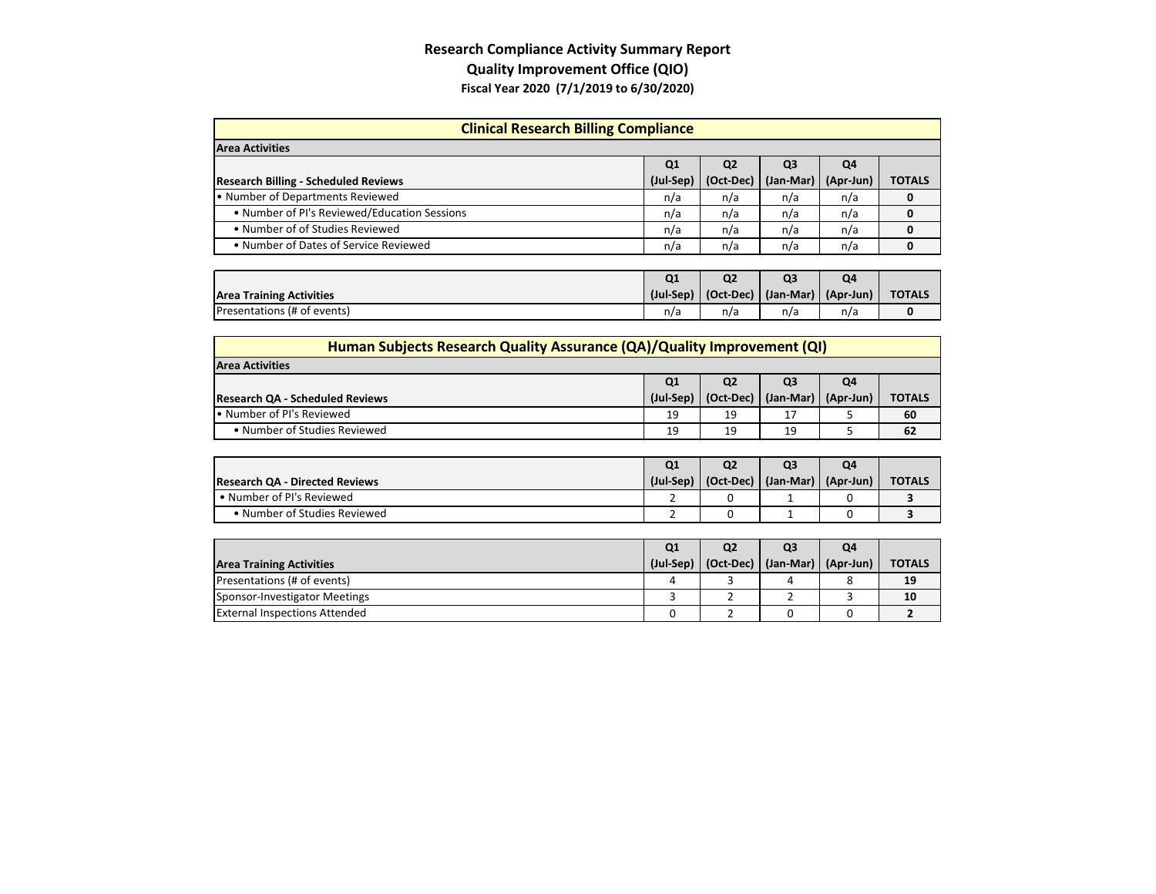## **Research Compliance Activity Summary Report Quality Improvement Office (QIO) Fiscal Year 2020 (7/1/2019 to 6/30/2020)**

| <b>Clinical Research Billing Compliance</b>  |              |                |           |              |               |  |
|----------------------------------------------|--------------|----------------|-----------|--------------|---------------|--|
| <b>Area Activities</b>                       |              |                |           |              |               |  |
|                                              | Q1           | Q <sub>2</sub> | Q3        | Q4           |               |  |
| <b>Research Billing - Scheduled Reviews</b>  | (Jul-Sep)    | (Oct-Dec)      | (Jan-Mar) | (Apr-Jun)    | <b>TOTALS</b> |  |
| . Number of Departments Reviewed             | n/a          | n/a            | n/a       | n/a          | 0             |  |
| • Number of PI's Reviewed/Education Sessions | n/a          | n/a            | n/a       | n/a          |               |  |
| • Number of of Studies Reviewed              | n/a          | n/a            | n/a       | n/a          |               |  |
| • Number of Dates of Service Reviewed        | n/a          | n/a            | n/a       | n/a          |               |  |
|                                              |              |                |           |              |               |  |
|                                              | $\mathbf{A}$ | $\sim$         | $\sim$    | $\mathbf{A}$ |               |  |

|                                 | Q <sub>1</sub> |     |                                                           | O4  |               |
|---------------------------------|----------------|-----|-----------------------------------------------------------|-----|---------------|
| <b>Area Training Activities</b> | (Jul-Sep)      |     | $\mid$ (Oct-Dec) $\mid$ (Jan-Mar) $\mid$ (Apr-Jun) $\mid$ |     | <b>TOTALS</b> |
| Presentations (# of events)     | n/a            | n/a | n/a                                                       | n/a |               |

| Human Subjects Research Quality Assurance (QA)/Quality Improvement (QI) |                |                |                |           |               |  |  |
|-------------------------------------------------------------------------|----------------|----------------|----------------|-----------|---------------|--|--|
| <b>Area Activities</b>                                                  |                |                |                |           |               |  |  |
|                                                                         | Q <sub>1</sub> | Q <sub>2</sub> | Q <sub>3</sub> | Q4        |               |  |  |
| Research QA - Scheduled Reviews                                         | (Jul-Sep)      | (Oct-Dec)      | (Jan-Mar)      | (Apr-Jun) | <b>TOTALS</b> |  |  |
| . Number of PI's Reviewed                                               | 19             | 19             | 17             |           | 60            |  |  |
| • Number of Studies Reviewed                                            | 19             | 19             | 19             |           | 62            |  |  |

|                                       | Q <sub>1</sub> | Q2 | Q3                                            | Q4 |               |
|---------------------------------------|----------------|----|-----------------------------------------------|----|---------------|
| <b>Research QA - Directed Reviews</b> |                |    | (Jul-Sep)   (Oct-Dec)   (Jan-Mar)   (Apr-Jun) |    | <b>TOTALS</b> |
| • Number of PI's Reviewed             |                |    |                                               |    |               |
| • Number of Studies Reviewed          |                |    |                                               |    |               |

|                                      | Q <sub>1</sub> | Q <sub>3</sub>                                          | Q4 |               |
|--------------------------------------|----------------|---------------------------------------------------------|----|---------------|
| <b>Area Training Activities</b>      |                | $ $ (Jul-Sep) $ $ (Oct-Dec) $ $ (Jan-Mar) $ $ (Apr-Jun) |    | <b>TOTALS</b> |
| Presentations (# of events)          |                |                                                         |    | 19            |
| Sponsor-Investigator Meetings        |                |                                                         |    | 10            |
| <b>External Inspections Attended</b> |                |                                                         |    |               |